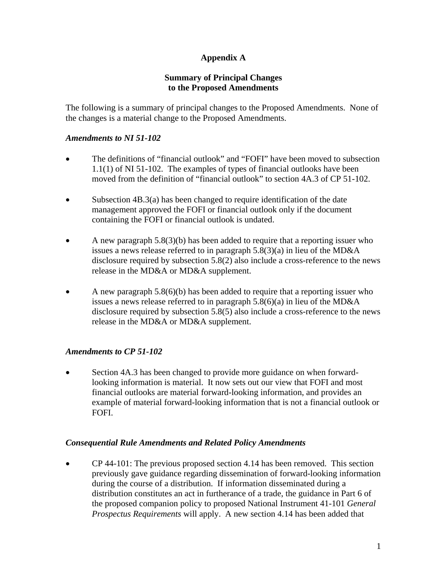# **Appendix A**

## **Summary of Principal Changes to the Proposed Amendments**

The following is a summary of principal changes to the Proposed Amendments. None of the changes is a material change to the Proposed Amendments.

## *Amendments to NI 51-102*

- The definitions of "financial outlook" and "FOFI" have been moved to subsection 1.1(1) of NI 51-102. The examples of types of financial outlooks have been moved from the definition of "financial outlook" to section 4A.3 of CP 51-102.
- Subsection 4B.3(a) has been changed to require identification of the date management approved the FOFI or financial outlook only if the document containing the FOFI or financial outlook is undated.
- A new paragraph  $5.8(3)(b)$  has been added to require that a reporting issuer who issues a news release referred to in paragraph 5.8(3)(a) in lieu of the MD&A disclosure required by subsection 5.8(2) also include a cross-reference to the news release in the MD&A or MD&A supplement.
- A new paragraph  $5.8(6)(b)$  has been added to require that a reporting issuer who issues a news release referred to in paragraph 5.8(6)(a) in lieu of the MD&A disclosure required by subsection 5.8(5) also include a cross-reference to the news release in the MD&A or MD&A supplement.

#### *Amendments to CP 51-102*

• Section 4A.3 has been changed to provide more guidance on when forwardlooking information is material. It now sets out our view that FOFI and most financial outlooks are material forward-looking information, and provides an example of material forward-looking information that is not a financial outlook or FOFI.

#### *Consequential Rule Amendments and Related Policy Amendments*

• CP 44-101: The previous proposed section 4.14 has been removed. This section previously gave guidance regarding dissemination of forward-looking information during the course of a distribution. If information disseminated during a distribution constitutes an act in furtherance of a trade, the guidance in Part 6 of the proposed companion policy to proposed National Instrument 41-101 *General Prospectus Requirements* will apply. A new section 4.14 has been added that